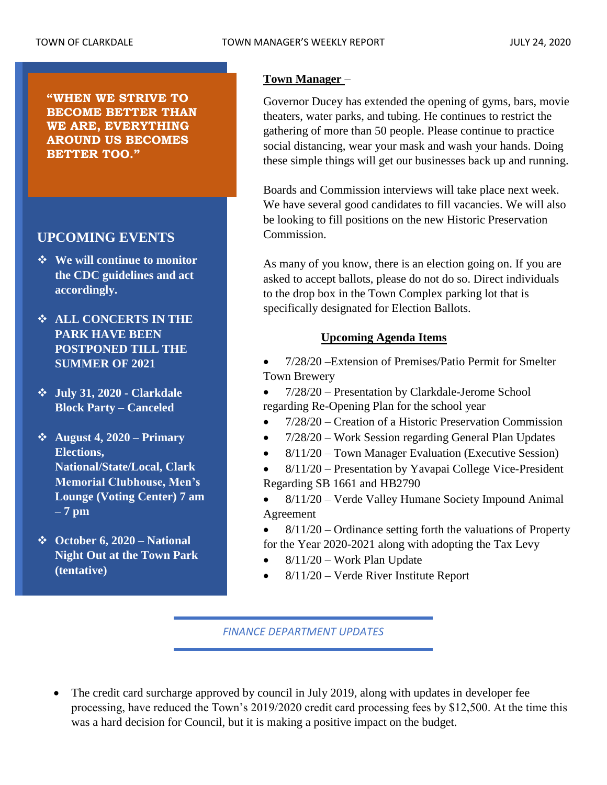**"WHEN WE STRIVE TO BECOME BETTER THAN WE ARE, EVERYTHING AROUND US BECOMES BETTER TOO."**

# **UPCOMING EVENTS**

- ❖ **We will continue to monitor the CDC guidelines and act accordingly.**
- ❖ **ALL CONCERTS IN THE PARK HAVE BEEN POSTPONED TILL THE SUMMER OF 2021**
- ❖ **July 31, 2020 - Clarkdale Block Party – Canceled**
- ❖ **August 4, 2020 – Primary Elections, National/State/Local, Clark Memorial Clubhouse, Men's Lounge (Voting Center) 7 am – 7 pm**
- ❖ **October 6, 2020 – National Night Out at the Town Park (tentative)**

## **Town Manager** –

Governor Ducey has extended the opening of gyms, bars, movie theaters, water parks, and tubing. He continues to restrict the gathering of more than 50 people. Please continue to practice social distancing, wear your mask and wash your hands. Doing these simple things will get our businesses back up and running.

Boards and Commission interviews will take place next week. We have several good candidates to fill vacancies. We will also be looking to fill positions on the new Historic Preservation Commission.

As many of you know, there is an election going on. If you are asked to accept ballots, please do not do so. Direct individuals to the drop box in the Town Complex parking lot that is specifically designated for Election Ballots.

## **Upcoming Agenda Items**

• 7/28/20 –Extension of Premises/Patio Permit for Smelter Town Brewery

• 7/28/20 – Presentation by Clarkdale-Jerome School regarding Re-Opening Plan for the school year

- 7/28/20 Creation of a Historic Preservation Commission
- 7/28/20 Work Session regarding General Plan Updates
- 8/11/20 Town Manager Evaluation (Executive Session)
- 8/11/20 Presentation by Yavapai College Vice-President Regarding SB 1661 and HB2790
- 8/11/20 Verde Valley Humane Society Impound Animal Agreement
- $8/11/20$  Ordinance setting forth the valuations of Property for the Year 2020-2021 along with adopting the Tax Levy
- 8/11/20 Work Plan Update
- 8/11/20 Verde River Institute Report

*FINANCE DEPARTMENT UPDATES*

• The credit card surcharge approved by council in July 2019, along with updates in developer fee processing, have reduced the Town's 2019/2020 credit card processing fees by \$12,500. At the time this was a hard decision for Council, but it is making a positive impact on the budget.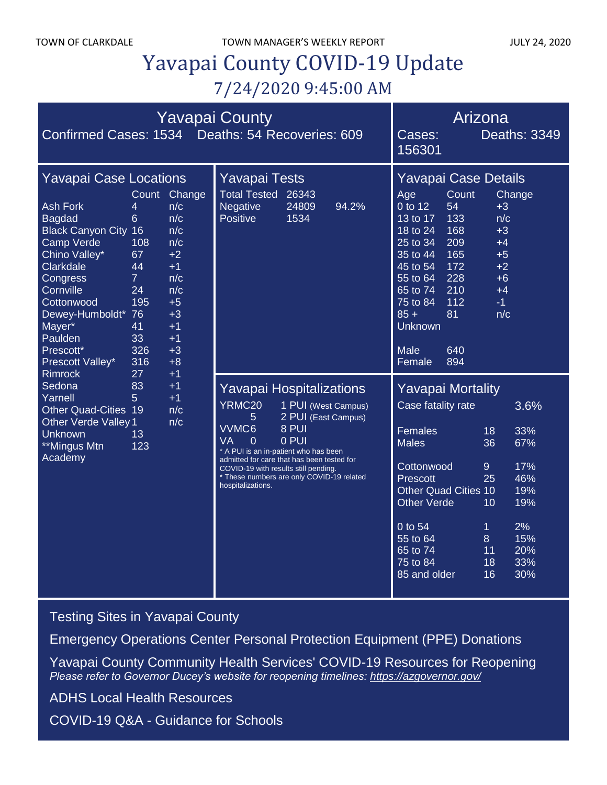# Yavapai County COVID-19 Update 7/24/2020 9:45:00 AM

| <b>Yavapai County</b><br>Confirmed Cases: 1534 Deaths: 54 Recoveries: 609                                                                                                                                                                                                                                                                                                                                                                                                                                                                          |  |                                                                                                                                                              |                                                                                                                                                                                                                                                                     |                                                              |                                                                                                                                                                                                                                                                                                                                                                               | Arizona<br>Deaths: 3349<br>Cases:<br>156301                                                                                                                                                                                           |  |                                                                    |
|----------------------------------------------------------------------------------------------------------------------------------------------------------------------------------------------------------------------------------------------------------------------------------------------------------------------------------------------------------------------------------------------------------------------------------------------------------------------------------------------------------------------------------------------------|--|--------------------------------------------------------------------------------------------------------------------------------------------------------------|---------------------------------------------------------------------------------------------------------------------------------------------------------------------------------------------------------------------------------------------------------------------|--------------------------------------------------------------|-------------------------------------------------------------------------------------------------------------------------------------------------------------------------------------------------------------------------------------------------------------------------------------------------------------------------------------------------------------------------------|---------------------------------------------------------------------------------------------------------------------------------------------------------------------------------------------------------------------------------------|--|--------------------------------------------------------------------|
| <b>Yavapai Case Locations</b><br><b>Ash Fork</b><br>4<br><b>Bagdad</b><br>6<br><b>Black Canyon City 16</b><br><b>Camp Verde</b><br>108<br>Chino Valley*<br>67<br>Clarkdale<br>44<br>$\overline{7}$<br>Congress<br>Cornville<br>24<br>195<br>Cottonwood<br>Dewey-Humboldt* 76<br>Mayer*<br>41<br>Paulden<br>33<br>Prescott*<br>326<br>316<br>Prescott Valley*<br><b>Rimrock</b><br>27<br>Sedona<br>83<br>Yarnell<br>5 <sup>5</sup><br><b>Other Quad-Cities 19</b><br><b>Other Verde Valley 1</b><br>Unknown<br>13<br>**Mingus Mtn<br>123<br>Academy |  | Count Change<br>n/c<br>n/c<br>n/c<br>n/c<br>$+2$<br>$+1$<br>n/c<br>n/c<br>$+5$<br>$+3$<br>$+1$<br>$+1$<br>$+3$<br>$+8$<br>$+1$<br>$+1$<br>$+1$<br>n/c<br>n/c | <b>Yavapai Tests</b><br>Total Tested 26343<br>94.2%<br>Negative<br>24809<br>Positive<br>1534                                                                                                                                                                        |                                                              | Yavapai Case Details<br>Count<br>Change<br>Age<br>0 to 12<br>54<br>$+3$<br>13 to $17$<br>133<br>n/c<br>$18$ to $24$<br>168<br>$+3$<br>209<br>25 to 34<br>$+4$<br>165<br>$+5$<br>35 to 44<br>172<br>$+2$<br>45 to 54<br>228<br>55 to 64<br>$+6$<br>210<br>65 to 74<br>$+4$<br>112<br>75 to 84<br>$-1$<br>$85 +$<br>81<br>n/c<br><b>Unknown</b><br>Male<br>640<br>894<br>Female |                                                                                                                                                                                                                                       |  |                                                                    |
|                                                                                                                                                                                                                                                                                                                                                                                                                                                                                                                                                    |  |                                                                                                                                                              | <b>Yavapai Hospitalizations</b><br>YRMC20<br>5<br>VVMC6<br>VA<br>0<br>* A PUI is an in-patient who has been<br>admitted for care that has been tested for<br>COVID-19 with results still pending.<br>* These numbers are only COVID-19 related<br>hospitalizations. | 1 PUI (West Campus)<br>2 PUI (East Campus)<br>8 PUI<br>0 PUI |                                                                                                                                                                                                                                                                                                                                                                               | <b>Yavapai Mortality</b><br>Case fatality rate<br><b>Females</b><br><b>Males</b><br>Cottonwood<br><b>Prescott</b><br><b>Other Quad Cities 10</b><br><b>Other Verde</b><br>0 to 54<br>55 to 64<br>65 to 74<br>75 to 84<br>85 and older |  | 18<br>36<br>$\overline{9}$<br>25<br>10<br>1<br>8<br>11<br>18<br>16 |

[Testing Sites in Yavapai County](https://www.yavapai.us/Portals/39/COVID-19/TestingSitesinYavapaiCounty.pdf)

[Emergency Operations Center Personal Protection Equipment \(PPE\) Donations](http://www.yavapai.us/Portals/39/PPE%20Donations.pdf)

[Yavapai County Community Health Services' COVID-19 Resources for Reopening](https://www.yavapai.us/chs/COVID-19) *Please refer to Governor Ducey's website for reopening timelines: <https://azgovernor.gov/>*

[ADHS Local Health Resources](https://www.azdhs.gov/preparedness/epidemiology-disease-control/infectious-disease-epidemiology/index.php#novel-coronavirus-local-health-resources)

COVID-19 Q&A - [Guidance for Schools](https://www.yavapai.us/Portals/39/COVID-19/COVID-19_QA_GuidanceForSchools.pdf)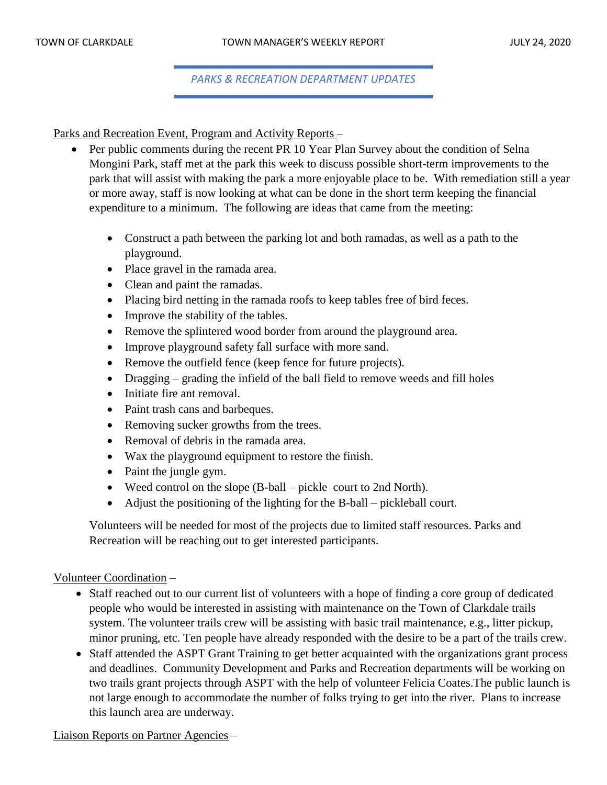## *PARKS & RECREATION DEPARTMENT UPDATES*

Parks and Recreation Event, Program and Activity Reports –

- Per public comments during the recent PR 10 Year Plan Survey about the condition of Selna Mongini Park, staff met at the park this week to discuss possible short-term improvements to the park that will assist with making the park a more enjoyable place to be. With remediation still a year or more away, staff is now looking at what can be done in the short term keeping the financial expenditure to a minimum. The following are ideas that came from the meeting:
	- Construct a path between the parking lot and both ramadas, as well as a path to the playground.
	- Place gravel in the ramada area.
	- Clean and paint the ramadas.
	- Placing bird netting in the ramada roofs to keep tables free of bird feces.
	- Improve the stability of the tables.
	- Remove the splintered wood border from around the playground area.
	- Improve playground safety fall surface with more sand.
	- Remove the outfield fence (keep fence for future projects).
	- Dragging grading the infield of the ball field to remove weeds and fill holes
	- Initiate fire ant removal.
	- Paint trash cans and barbeques.
	- Removing sucker growths from the trees.
	- Removal of debris in the ramada area.
	- Wax the playground equipment to restore the finish.
	- Paint the jungle gym.
	- Weed control on the slope (B-ball pickle court to 2nd North).
	- Adjust the positioning of the lighting for the B-ball pickleball court.

Volunteers will be needed for most of the projects due to limited staff resources. Parks and Recreation will be reaching out to get interested participants.

#### Volunteer Coordination –

- Staff reached out to our current list of volunteers with a hope of finding a core group of dedicated people who would be interested in assisting with maintenance on the Town of Clarkdale trails system. The volunteer trails crew will be assisting with basic trail maintenance, e.g., litter pickup, minor pruning, etc. Ten people have already responded with the desire to be a part of the trails crew.
- Staff attended the ASPT Grant Training to get better acquainted with the organizations grant process and deadlines. Community Development and Parks and Recreation departments will be working on two trails grant projects through ASPT with the help of volunteer Felicia Coates.The public launch is not large enough to accommodate the number of folks trying to get into the river. Plans to increase this launch area are underway.

Liaison Reports on Partner Agencies –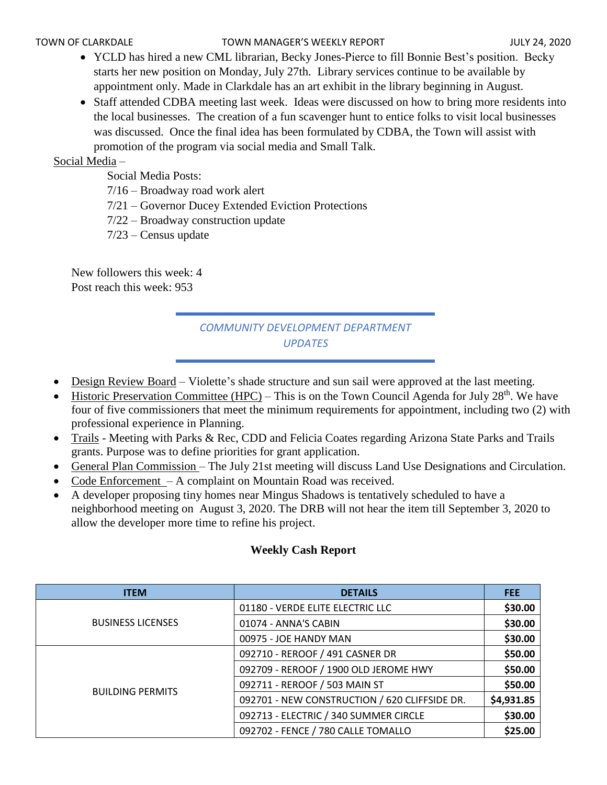#### TOWN OF CLARKDALE TOWN MANAGER'S WEEKLY REPORT TOWN OF CLARKDALE

- YCLD has hired a new CML librarian, Becky Jones-Pierce to fill Bonnie Best's position. Becky starts her new position on Monday, July 27th. Library services continue to be available by appointment only. Made in Clarkdale has an art exhibit in the library beginning in August.
- Staff attended CDBA meeting last week. Ideas were discussed on how to bring more residents into the local businesses. The creation of a fun scavenger hunt to entice folks to visit local businesses was discussed. Once the final idea has been formulated by CDBA, the Town will assist with promotion of the program via social media and Small Talk.

## Social Media –

Social Media Posts:

7/16 – Broadway road work alert

7/21 – Governor Ducey Extended Eviction Protections

7/22 – Broadway construction update

7/23 – Census update

New followers this week: 4 Post reach this week: 953

# *COMMUNITY DEVELOPMENT DEPARTMENT UPDATES*

- Design Review Board Violette's shade structure and sun sail were approved at the last meeting.
- Historic Preservation Committee (HPC) This is on the Town Council Agenda for July  $28<sup>th</sup>$ . We have four of five commissioners that meet the minimum requirements for appointment, including two (2) with professional experience in Planning.
- Trails Meeting with Parks & Rec, CDD and Felicia Coates regarding Arizona State Parks and Trails grants. Purpose was to define priorities for grant application.
- General Plan Commission The July 21st meeting will discuss Land Use Designations and Circulation.
- Code Enforcement A complaint on Mountain Road was received.
- A developer proposing tiny homes near Mingus Shadows is tentatively scheduled to have a neighborhood meeting on August 3, 2020. The DRB will not hear the item till September 3, 2020 to allow the developer more time to refine his project.

| <b>ITEM</b>              | <b>DETAILS</b>                                | <b>FEE</b> |
|--------------------------|-----------------------------------------------|------------|
|                          | 01180 - VERDE ELITE ELECTRIC LLC              | \$30.00    |
| <b>BUSINESS LICENSES</b> | 01074 - ANNA'S CABIN                          | \$30.00    |
|                          | 00975 - JOE HANDY MAN                         | \$30.00    |
|                          | 092710 - REROOF / 491 CASNER DR               | \$50.00    |
|                          | 092709 - REROOF / 1900 OLD JEROME HWY         | \$50.00    |
| <b>BUILDING PERMITS</b>  | 092711 - REROOF / 503 MAIN ST                 | \$50.00    |
|                          | 092701 - NEW CONSTRUCTION / 620 CLIFFSIDE DR. | \$4,931.85 |
|                          | 092713 - ELECTRIC / 340 SUMMER CIRCLE         | \$30.00    |
|                          | 092702 - FENCE / 780 CALLE TOMALLO            | \$25.00    |

## **Weekly Cash Report**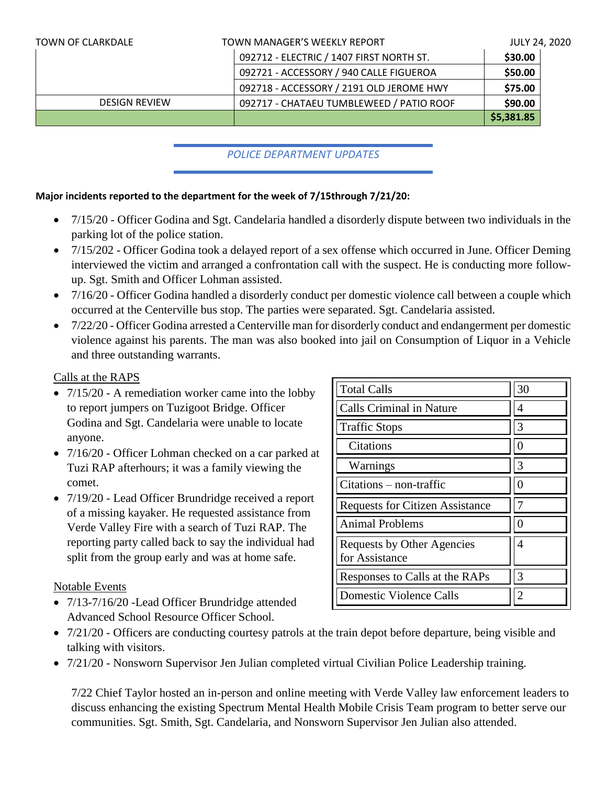| <b>TOWN OF CLARKDALE</b> | TOWN MANAGER'S WEEKLY REPORT             | <b>JULY 24, 2020</b> |
|--------------------------|------------------------------------------|----------------------|
|                          | 092712 - ELECTRIC / 1407 FIRST NORTH ST. | \$30.00              |
|                          | 092721 - ACCESSORY / 940 CALLE FIGUEROA  | \$50.00              |
|                          | 092718 - ACCESSORY / 2191 OLD JEROME HWY | \$75.00              |
| <b>DESIGN REVIEW</b>     | 092717 - CHATAEU TUMBLEWEED / PATIO ROOF | \$90.00              |
|                          |                                          | \$5,381.85           |

## *POLICE DEPARTMENT UPDATES*

## **Major incidents reported to the department for the week of 7/15through 7/21/20:**

- 7/15/20 Officer Godina and Sgt. Candelaria handled a disorderly dispute between two individuals in the parking lot of the police station.
- 7/15/202 Officer Godina took a delayed report of a sex offense which occurred in June. Officer Deming interviewed the victim and arranged a confrontation call with the suspect. He is conducting more followup. Sgt. Smith and Officer Lohman assisted.
- 7/16/20 Officer Godina handled a disorderly conduct per domestic violence call between a couple which occurred at the Centerville bus stop. The parties were separated. Sgt. Candelaria assisted.
- 7/22/20 Officer Godina arrested a Centerville man for disorderly conduct and endangerment per domestic violence against his parents. The man was also booked into jail on Consumption of Liquor in a Vehicle and three outstanding warrants.

## Calls at the RAPS

- 7/15/20 A remediation worker came into the lobby to report jumpers on Tuzigoot Bridge. Officer Godina and Sgt. Candelaria were unable to locate anyone.
- 7/16/20 Officer Lohman checked on a car parked at Tuzi RAP afterhours; it was a family viewing the comet.
- 7/19/20 Lead Officer Brundridge received a report of a missing kayaker. He requested assistance from Verde Valley Fire with a search of Tuzi RAP. The reporting party called back to say the individual had split from the group early and was at home safe.

## Notable Events

- 7/13-7/16/20 Lead Officer Brundridge attended Advanced School Resource Officer School.
- Total Calls 20 Calls Criminal in Nature  $||4$  $\left| \right|$  Traffic Stops  $\left| \right|$  3 Citations 0 Warnings 3  $Citations - non-traffic$   $||0$ Requests for Citizen Assistance  $||7$ Animal Problems 0 Requests by Other Agencies for Assistance 4 Responses to Calls at the RAPs  $\vert \vert$  3 Domestic Violence Calls 2
- 7/21/20 Officers are conducting courtesy patrols at the train depot before departure, being visible and talking with visitors.
- 7/21/20 Nonsworn Supervisor Jen Julian completed virtual Civilian Police Leadership training.

7/22 Chief Taylor hosted an in-person and online meeting with Verde Valley law enforcement leaders to discuss enhancing the existing Spectrum Mental Health Mobile Crisis Team program to better serve our communities. Sgt. Smith, Sgt. Candelaria, and Nonsworn Supervisor Jen Julian also attended.